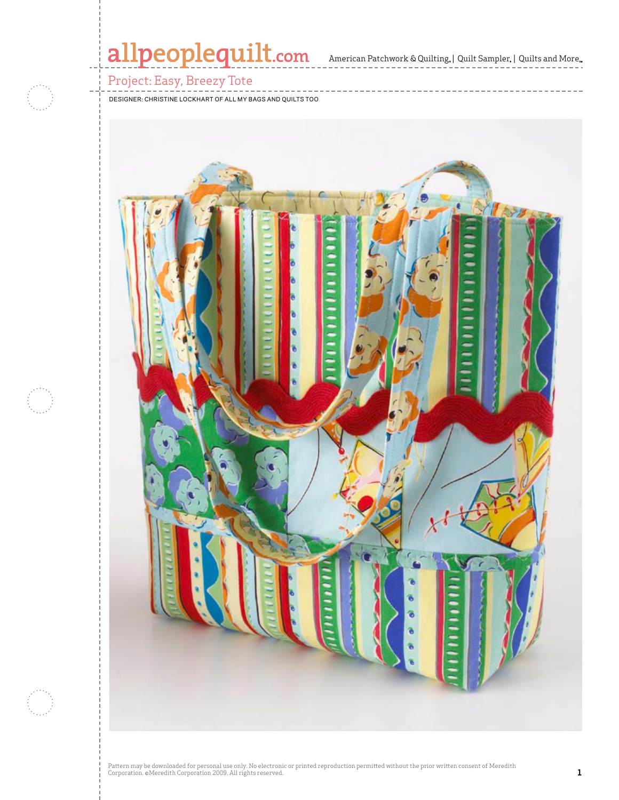# allpeoplequilt.com American Patchwork & Quilting. | Quilt Sampler. | Quilts and More..

### Project: Easy, Breezy Tote

Designer: Christine Lockhart of all my bags and quilts too

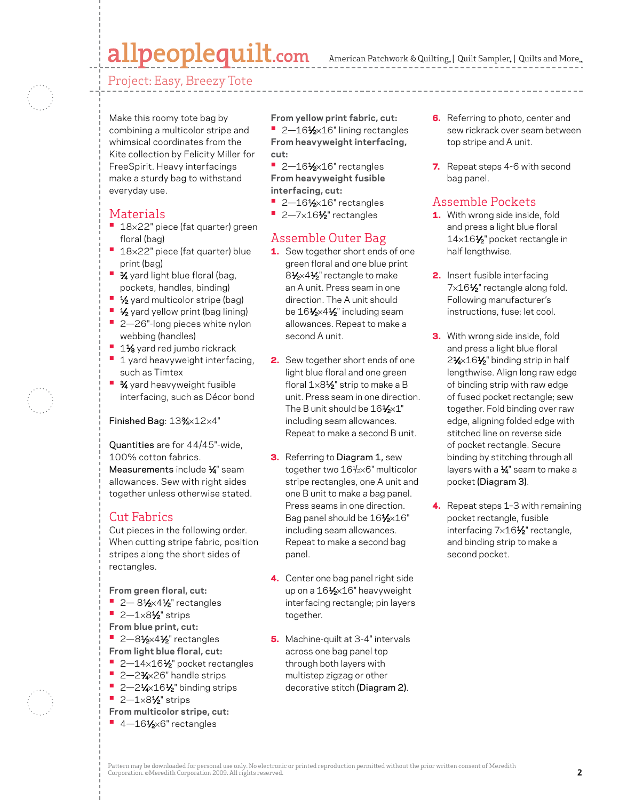# allpeoplequilt.com

American Patchwork & Quilting,  $|$  Quilt Sampler,  $|$  Quilts and More,

Project: Easy, Breezy Tote



Make this roomy tote bag by combining a multicolor stripe and whimsical coordinates from the Kite collection by Felicity Miller for FreeSpirit. Heavy interfacings make a sturdy bag to withstand everyday use.

### Materials

- **18×22"** piece (fat quarter) green floral (bag)
- 18×22" piece (fat quarter) blue print (bag)
- **3⁄4** yard light blue floral (bag, pockets, handles, binding)
- **1/<sub>2</sub>** yard multicolor stripe (bag)
- **1⁄2** yard yellow print (bag lining)
- **•**  2—26"-long pieces white nylon webbing (handles)
- 1<sup>1</sup>⁄<sub>8</sub> yard red jumbo rickrack
- **<sup>•</sup>** 1 yard heavyweight interfacing, such as Timtex
- **<sup>3</sup>**⁄<sub>4</sub> yard heavyweight fusible interfacing, such as Décor bond

#### Finished Bag: 13%×12×4"

Quantities are for 44/45"-wide, 100% cotton fabrics. Measurements include 1/4" seam allowances. Sew with right sides together unless otherwise stated.

#### Cut Fabrics

Cut pieces in the following order. When cutting stripe fabric, position stripes along the short sides of rectangles.

**From green floral, cut:**

- **•** 2 81⁄2×41⁄2" rectangles
- **•**  2—1×81⁄2" strips
- **From blue print, cut:**
- **•** 2-81⁄2×41⁄2" rectangles
- **From light blue floral, cut:**
- 2-14×16½" pocket rectangles
- **•**  2—23⁄4×26" handle strips **• 2—2** $\frac{1}{4}$  2—2 $\frac{1}{4}$  binding strips
- **•**  2—1×81⁄2" strips
- **From multicolor stripe, cut:**
- 4-16<sup>1</sup>⁄<sub>2×6</sub>" rectangles

**From yellow print fabric, cut:** ■ 2-16<sup>1</sup>⁄<sub>2×16</sub>" lining rectangles **From heavyweight interfacing, cut:**

- <sup>•</sup> 2-16<sup>1</sup>/<sub>2</sub>×16" rectangles **From heavyweight fusible interfacing, cut:**
- <sup>•</sup> 2-16<sup>1</sup>/<sub>2</sub>×16" rectangles
- 2–7×16½" rectangles

### Assemble Outer Bag

- 1. Sew together short ends of one green floral and one blue print 8<sup>1</sup>⁄<sub>2</sub>×4<sup>1</sup>⁄<sub>2</sub>" rectangle to make an A unit. Press seam in one direction. The A unit should be 161⁄2×41⁄2" including seam allowances. Repeat to make a second A unit.
- **2.** Sew together short ends of one light blue floral and one green floral  $1\times8\frac{1}{2}$ " strip to make a B unit. Press seam in one direction. The B unit should be  $16\frac{1}{2} \times 1$ " including seam allowances. Repeat to make a second B unit.
- **3.** Referring to Diagram 1, sew together two 161 /2×6" multicolor stripe rectangles, one A unit and one B unit to make a bag panel. Press seams in one direction. Bag panel should be 161⁄2×16" including seam allowances. Repeat to make a second bag panel.
- 4. Center one bag panel right side up on a 161/<sub>2</sub>×16" heavyweight interfacing rectangle; pin layers together.
- 5. Machine-quilt at 3-4" intervals across one bag panel top through both layers with multistep zigzag or other decorative stitch (Diagram 2).
- **6.** Referring to photo, center and sew rickrack over seam between top stripe and A unit.
- 7. Repeat steps 4-6 with second bag panel.

#### Assemble Pockets

- **1.** With wrong side inside, fold and press a light blue floral 14×16<sup>1</sup>/<sub>2</sub>" pocket rectangle in half lengthwise.
- **2.** Insert fusible interfacing 7×16<sup>1</sup>/<sub>2</sub>" rectangle along fold. Following manufacturer's instructions, fuse; let cool.
- **3.** With wrong side inside, fold and press a light blue floral 2<sup>1</sup>⁄2×16<sup>1</sup>⁄2" binding strip in half lengthwise. Align long raw edge of binding strip with raw edge of fused pocket rectangle; sew together. Fold binding over raw edge, aligning folded edge with stitched line on reverse side of pocket rectangle. Secure binding by stitching through all layers with a  $\frac{1}{4}$ " seam to make a pocket (Diagram 3).
- 4. Repeat steps 1-3 with remaining pocket rectangle, fusible interfacing 7×16<sup>1</sup>/<sub>2</sub>" rectangle, and binding strip to make a second pocket.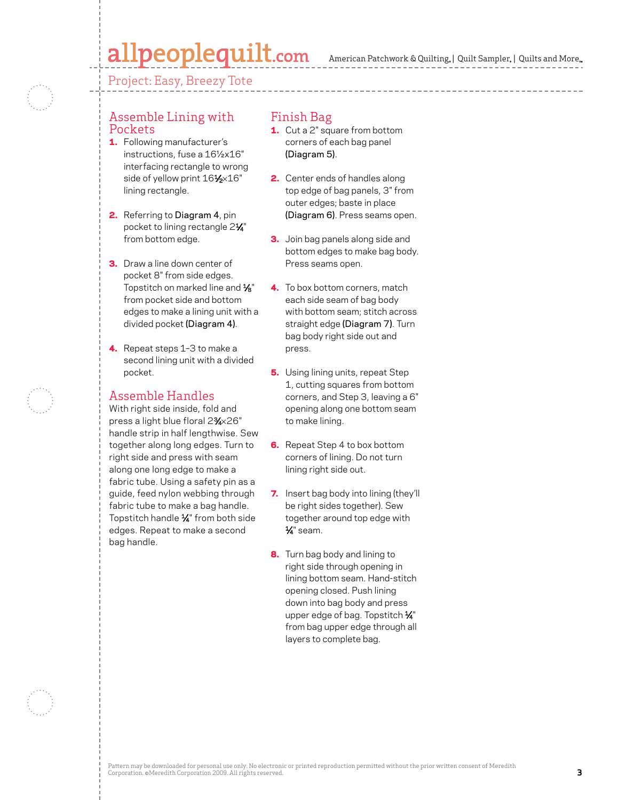# allpeoplequilt.com

American Patchwork & Quilting,  $|$  Quilt Sampler,  $|$  Quilts and More,

Project: Easy, Breezy Tote

#### Assemble Lining with Pockets

- 1. Following manufacturer's instructions, fuse a 16½x16" interfacing rectangle to wrong side of yellow print 161⁄2×16" lining rectangle.
- 2. Referring to Diagram 4, pin pocket to lining rectangle 2<sup>1/4"</sup> from bottom edge.
- **3.** Draw a line down center of pocket 8" from side edges. Topstitch on marked line and  $\frac{1}{8}$ " from pocket side and bottom edges to make a lining unit with a divided pocket (Diagram 4).
- 4. Repeat steps 1-3 to make a second lining unit with a divided pocket.

### Assemble Handles

With right side inside, fold and press a light blue floral 23⁄4×26" handle strip in half lengthwise. Sew together along long edges. Turn to right side and press with seam along one long edge to make a fabric tube. Using a safety pin as a guide, feed nylon webbing through fabric tube to make a bag handle. Topstitch handle  $\frac{1}{4}$ " from both side edges. Repeat to make a second bag handle.

### Finish Bag

- **1.** Cut a 2" square from bottom corners of each bag panel (Diagram 5).
- **2.** Center ends of handles along top edge of bag panels, 3" from outer edges; baste in place (Diagram 6). Press seams open.
- **3.** Join bag panels along side and bottom edges to make bag body. Press seams open.
- 4. To box bottom corners, match each side seam of bag body with bottom seam; stitch across straight edge (Diagram 7). Turn bag body right side out and press.
- **5.** Using lining units, repeat Step 1, cutting squares from bottom corners, and Step 3, leaving a 6" opening along one bottom seam to make lining.
- **6.** Repeat Step 4 to box bottom corners of lining. Do not turn lining right side out.
- 7. Insert bag body into lining (they'll be right sides together). Sew together around top edge with 1⁄4" seam.
- 8. Turn bag body and lining to right side through opening in lining bottom seam. Hand-stitch opening closed. Push lining down into bag body and press upper edge of bag. Topstitch 1/4" from bag upper edge through all layers to complete bag.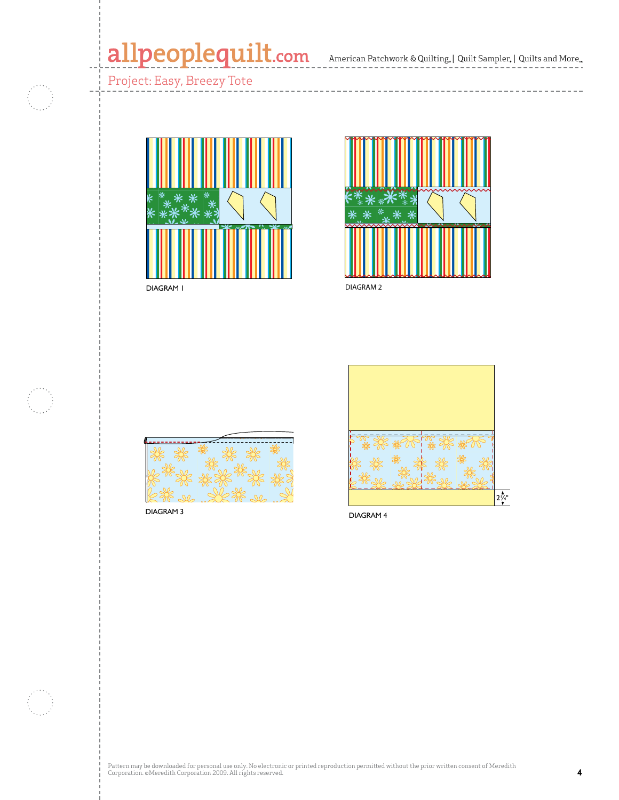# allpeoplequilt.com<br>american Patchwork & Quilting, | Quilt Sampler, | Quilts and More...

Project: Easy, Breezy Tote



DIAGRAM 1



DIAGRAM 2



DIAGRAM 3



DIAGRAM 4